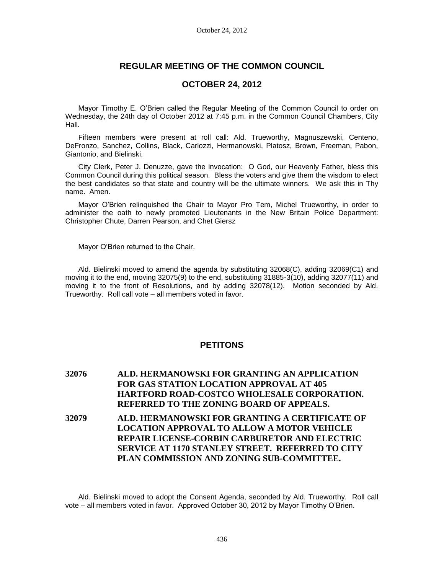## **REGULAR MEETING OF THE COMMON COUNCIL**

### **OCTOBER 24, 2012**

Mayor Timothy E. O'Brien called the Regular Meeting of the Common Council to order on Wednesday, the 24th day of October 2012 at 7:45 p.m. in the Common Council Chambers, City Hall.

Fifteen members were present at roll call: Ald. Trueworthy, Magnuszewski, Centeno, DeFronzo, Sanchez, Collins, Black, Carlozzi, Hermanowski, Platosz, Brown, Freeman, Pabon, Giantonio, and Bielinski.

City Clerk, Peter J. Denuzze, gave the invocation: O God, our Heavenly Father, bless this Common Council during this political season. Bless the voters and give them the wisdom to elect the best candidates so that state and country will be the ultimate winners. We ask this in Thy name. Amen.

Mayor O'Brien relinquished the Chair to Mayor Pro Tem, Michel Trueworthy, in order to administer the oath to newly promoted Lieutenants in the New Britain Police Department: Christopher Chute, Darren Pearson, and Chet Giersz

Mayor O'Brien returned to the Chair.

Ald. Bielinski moved to amend the agenda by substituting 32068(C), adding 32069(C1) and moving it to the end, moving 32075(9) to the end, substituting 31885-3(10), adding 32077(11) and moving it to the front of Resolutions, and by adding 32078(12). Motion seconded by Ald. Trueworthy. Roll call vote – all members voted in favor.

## **PETITONS**

# **32076 ALD. HERMANOWSKI FOR GRANTING AN APPLICATION FOR GAS STATION LOCATION APPROVAL AT 405 HARTFORD ROAD-COSTCO WHOLESALE CORPORATION. REFERRED TO THE ZONING BOARD OF APPEALS. 32079 ALD. HERMANOWSKI FOR GRANTING A CERTIFICATE OF LOCATION APPROVAL TO ALLOW A MOTOR VEHICLE REPAIR LICENSE-CORBIN CARBURETOR AND ELECTRIC SERVICE AT 1170 STANLEY STREET. REFERRED TO CITY PLAN COMMISSION AND ZONING SUB-COMMITTEE.**

Ald. Bielinski moved to adopt the Consent Agenda, seconded by Ald. Trueworthy. Roll call vote – all members voted in favor. Approved October 30, 2012 by Mayor Timothy O'Brien.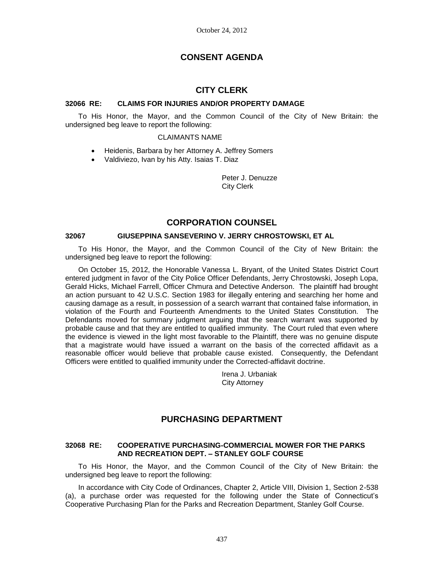# **CONSENT AGENDA**

## **CITY CLERK**

### **32066 RE: CLAIMS FOR INJURIES AND/OR PROPERTY DAMAGE**

To His Honor, the Mayor, and the Common Council of the City of New Britain: the undersigned beg leave to report the following:

### CLAIMANTS NAME

- Heidenis, Barbara by her Attorney A. Jeffrey Somers
- Valdiviezo, Ivan by his Atty. Isaias T. Diaz

Peter J. Denuzze City Clerk

## **CORPORATION COUNSEL**

### **32067 GIUSEPPINA SANSEVERINO V. JERRY CHROSTOWSKI, ET AL**

To His Honor, the Mayor, and the Common Council of the City of New Britain: the undersigned beg leave to report the following:

On October 15, 2012, the Honorable Vanessa L. Bryant, of the United States District Court entered judgment in favor of the City Police Officer Defendants, Jerry Chrostowski, Joseph Lopa, Gerald Hicks, Michael Farrell, Officer Chmura and Detective Anderson. The plaintiff had brought an action pursuant to 42 U.S.C. Section 1983 for illegally entering and searching her home and causing damage as a result, in possession of a search warrant that contained false information, in violation of the Fourth and Fourteenth Amendments to the United States Constitution. The Defendants moved for summary judgment arguing that the search warrant was supported by probable cause and that they are entitled to qualified immunity. The Court ruled that even where the evidence is viewed in the light most favorable to the Plaintiff, there was no genuine dispute that a magistrate would have issued a warrant on the basis of the corrected affidavit as a reasonable officer would believe that probable cause existed. Consequently, the Defendant Officers were entitled to qualified immunity under the Corrected-affidavit doctrine.

> Irena J. Urbaniak City Attorney

## **PURCHASING DEPARTMENT**

### **32068 RE: COOPERATIVE PURCHASING-COMMERCIAL MOWER FOR THE PARKS AND RECREATION DEPT. – STANLEY GOLF COURSE**

To His Honor, the Mayor, and the Common Council of the City of New Britain: the undersigned beg leave to report the following:

In accordance with City Code of Ordinances, Chapter 2, Article VIII, Division 1, Section 2-538 (a), a purchase order was requested for the following under the State of Connecticut's Cooperative Purchasing Plan for the Parks and Recreation Department, Stanley Golf Course.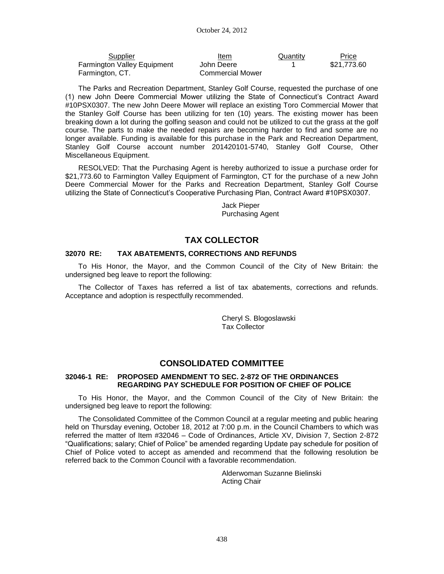| Supplier                    | Item             | Quantity | Price       |
|-----------------------------|------------------|----------|-------------|
| Farmington Valley Equipment | John Deere       |          | \$21.773.60 |
| Farmington, CT.             | Commercial Mower |          |             |

The Parks and Recreation Department, Stanley Golf Course, requested the purchase of one (1) new John Deere Commercial Mower utilizing the State of Connecticut's Contract Award #10PSX0307. The new John Deere Mower will replace an existing Toro Commercial Mower that the Stanley Golf Course has been utilizing for ten (10) years. The existing mower has been breaking down a lot during the golfing season and could not be utilized to cut the grass at the golf course. The parts to make the needed repairs are becoming harder to find and some are no longer available. Funding is available for this purchase in the Park and Recreation Department, Stanley Golf Course account number 201420101-5740, Stanley Golf Course, Other Miscellaneous Equipment.

RESOLVED: That the Purchasing Agent is hereby authorized to issue a purchase order for \$21,773.60 to Farmington Valley Equipment of Farmington, CT for the purchase of a new John Deere Commercial Mower for the Parks and Recreation Department, Stanley Golf Course utilizing the State of Connecticut's Cooperative Purchasing Plan, Contract Award #10PSX0307.

> Jack Pieper Purchasing Agent

## **TAX COLLECTOR**

### **32070 RE: TAX ABATEMENTS, CORRECTIONS AND REFUNDS**

To His Honor, the Mayor, and the Common Council of the City of New Britain: the undersigned beg leave to report the following:

The Collector of Taxes has referred a list of tax abatements, corrections and refunds. Acceptance and adoption is respectfully recommended.

> Cheryl S. Blogoslawski Tax Collector

## **CONSOLIDATED COMMITTEE**

### **32046-1 RE: PROPOSED AMENDMENT TO SEC. 2-872 OF THE ORDINANCES REGARDING PAY SCHEDULE FOR POSITION OF CHIEF OF POLICE**

To His Honor, the Mayor, and the Common Council of the City of New Britain: the undersigned beg leave to report the following:

The Consolidated Committee of the Common Council at a regular meeting and public hearing held on Thursday evening, October 18, 2012 at 7:00 p.m. in the Council Chambers to which was referred the matter of Item #32046 – Code of Ordinances, Article XV, Division 7, Section 2-872 "Qualifications; salary; Chief of Police" be amended regarding Update pay schedule for position of Chief of Police voted to accept as amended and recommend that the following resolution be referred back to the Common Council with a favorable recommendation.

> Alderwoman Suzanne Bielinski Acting Chair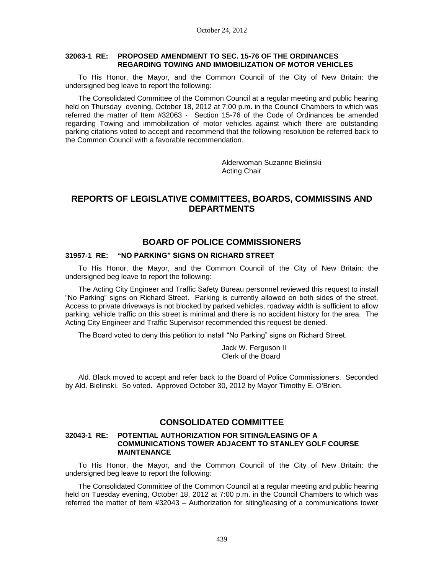### **32063-1 RE: PROPOSED AMENDMENT TO SEC. 15-76 OF THE ORDINANCES REGARDING TOWING AND IMMOBILIZATION OF MOTOR VEHICLES**

To His Honor, the Mayor, and the Common Council of the City of New Britain: the undersigned beg leave to report the following:

The Consolidated Committee of the Common Council at a regular meeting and public hearing held on Thursday evening, October 18, 2012 at 7:00 p.m. in the Council Chambers to which was referred the matter of Item #32063 - Section 15-76 of the Code of Ordinances be amended regarding Towing and immobilization of motor vehicles against which there are outstanding parking citations voted to accept and recommend that the following resolution be referred back to the Common Council with a favorable recommendation.

> Alderwoman Suzanne Bielinski Acting Chair

## **REPORTS OF LEGISLATIVE COMMITTEES, BOARDS, COMMISSINS AND DEPARTMENTS**

### **BOARD OF POLICE COMMISSIONERS**

### **31957-1 RE: "NO PARKING" SIGNS ON RICHARD STREET**

To His Honor, the Mayor, and the Common Council of the City of New Britain: the undersigned beg leave to report the following:

The Acting City Engineer and Traffic Safety Bureau personnel reviewed this request to install "No Parking" signs on Richard Street. Parking is currently allowed on both sides of the street. Access to private driveways is not blocked by parked vehicles, roadway width is sufficient to allow parking, vehicle traffic on this street is minimal and there is no accident history for the area. The Acting City Engineer and Traffic Supervisor recommended this request be denied.

The Board voted to deny this petition to install "No Parking" signs on Richard Street.

Jack W. Ferguson II Clerk of the Board

Ald. Black moved to accept and refer back to the Board of Police Commissioners. Seconded by Ald. Bielinski. So voted. Approved October 30, 2012 by Mayor Timothy E. O'Brien.

### **CONSOLIDATED COMMITTEE**

### **32043-1 RE: POTENTIAL AUTHORIZATION FOR SITING/LEASING OF A COMMUNICATIONS TOWER ADJACENT TO STANLEY GOLF COURSE MAINTENANCE**

To His Honor, the Mayor, and the Common Council of the City of New Britain: the undersigned beg leave to report the following:

The Consolidated Committee of the Common Council at a regular meeting and public hearing held on Tuesday evening, October 18, 2012 at 7:00 p.m. in the Council Chambers to which was referred the matter of Item #32043 – Authorization for siting/leasing of a communications tower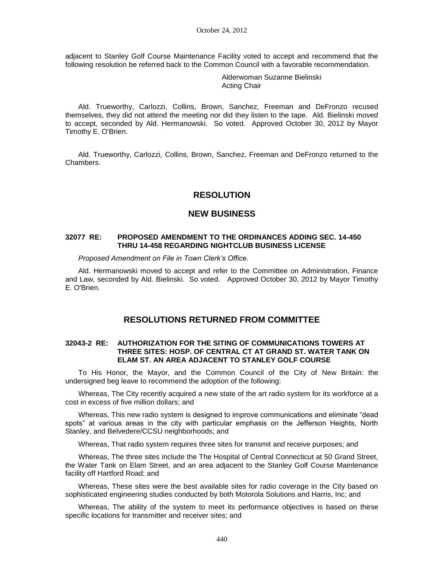adjacent to Stanley Golf Course Maintenance Facility voted to accept and recommend that the following resolution be referred back to the Common Council with a favorable recommendation.

> Alderwoman Suzanne Bielinski Acting Chair

Ald. Trueworthy, Carlozzi, Collins, Brown, Sanchez, Freeman and DeFronzo recused themselves, they did not attend the meeting nor did they listen to the tape. Ald. Bielinski moved to accept, seconded by Ald. Hermanowski. So voted. Approved October 30, 2012 by Mayor Timothy E. O'Brien.

Ald. Trueworthy, Carlozzi, Collins, Brown, Sanchez, Freeman and DeFronzo returned to the Chambers.

### **RESOLUTION**

### **NEW BUSINESS**

#### **32077 RE: PROPOSED AMENDMENT TO THE ORDINANCES ADDING SEC. 14-450 THRU 14-458 REGARDING NIGHTCLUB BUSINESS LICENSE**

*Proposed Amendment on File in Town Clerk's Office.*

Ald. Hermanowski moved to accept and refer to the Committee on Administration, Finance and Law, seconded by Ald. Bielinski. So voted. Approved October 30, 2012 by Mayor Timothy E. O'Brien.

## **RESOLUTIONS RETURNED FROM COMMITTEE**

### **32043-2 RE: AUTHORIZATION FOR THE SITING OF COMMUNICATIONS TOWERS AT THREE SITES: HOSP. OF CENTRAL CT AT GRAND ST. WATER TANK ON ELAM ST. AN AREA ADJACENT TO STANLEY GOLF COURSE**

To His Honor, the Mayor, and the Common Council of the City of New Britain: the undersigned beg leave to recommend the adoption of the following:

Whereas, The City recently acquired a new state of the art radio system for its workforce at a cost in excess of five million dollars; and

Whereas, This new radio system is designed to improve communications and eliminate "dead spots" at various areas in the city with particular emphasis on the Jefferson Heights, North Stanley, and Belvedere/CCSU neighborhoods; and

Whereas, That radio system requires three sites for transmit and receive purposes; and

Whereas, The three sites include the The Hospital of Central Connecticut at 50 Grand Street, the Water Tank on Elam Street, and an area adjacent to the Stanley Golf Course Maintenance facility off Hartford Road; and

Whereas, These sites were the best available sites for radio coverage in the City based on sophisticated engineering studies conducted by both Motorola Solutions and Harris, Inc; and

Whereas, The ability of the system to meet its performance objectives is based on these specific locations for transmitter and receiver sites; and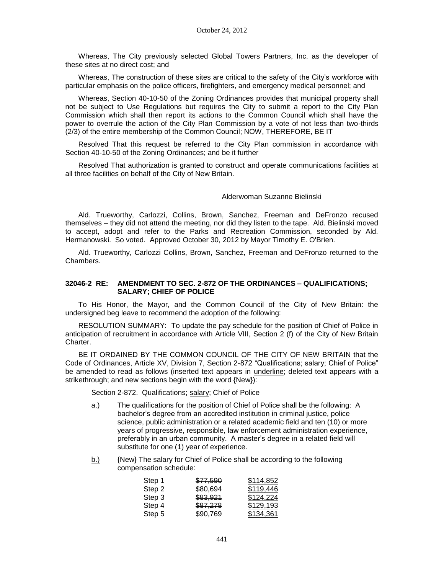Whereas, The City previously selected Global Towers Partners, Inc. as the developer of these sites at no direct cost; and

Whereas, The construction of these sites are critical to the safety of the City's workforce with particular emphasis on the police officers, firefighters, and emergency medical personnel; and

Whereas, Section 40-10-50 of the Zoning Ordinances provides that municipal property shall not be subject to Use Regulations but requires the City to submit a report to the City Plan Commission which shall then report its actions to the Common Council which shall have the power to overrule the action of the City Plan Commission by a vote of not less than two-thirds (2/3) of the entire membership of the Common Council; NOW, THEREFORE, BE IT

Resolved That this request be referred to the City Plan commission in accordance with Section 40-10-50 of the Zoning Ordinances; and be it further

Resolved That authorization is granted to construct and operate communications facilities at all three facilities on behalf of the City of New Britain.

#### Alderwoman Suzanne Bielinski

Ald. Trueworthy, Carlozzi, Collins, Brown, Sanchez, Freeman and DeFronzo recused themselves – they did not attend the meeting, nor did they listen to the tape. Ald. Bielinski moved to accept, adopt and refer to the Parks and Recreation Commission, seconded by Ald. Hermanowski. So voted. Approved October 30, 2012 by Mayor Timothy E. O'Brien.

Ald. Trueworthy, Carlozzi Collins, Brown, Sanchez, Freeman and DeFronzo returned to the Chambers.

#### **32046-2 RE: AMENDMENT TO SEC. 2-872 OF THE ORDINANCES – QUALIFICATIONS; SALARY; CHIEF OF POLICE**

To His Honor, the Mayor, and the Common Council of the City of New Britain: the undersigned beg leave to recommend the adoption of the following:

RESOLUTION SUMMARY: To update the pay schedule for the position of Chief of Police in anticipation of recruitment in accordance with Article VIII, Section 2 (f) of the City of New Britain Charter.

BE IT ORDAINED BY THE COMMON COUNCIL OF THE CITY OF NEW BRITAIN that the Code of Ordinances, Article XV, Division 7, Section 2-872 "Qualifications; salary; Chief of Police" be amended to read as follows (inserted text appears in underline; deleted text appears with a strikethrough; and new sections begin with the word {New}):

Section 2-872. Qualifications; salary; Chief of Police

- a.) The qualifications for the position of Chief of Police shall be the following: A bachelor's degree from an accredited institution in criminal justice, police science, public administration or a related academic field and ten (10) or more years of progressive, responsible, law enforcement administration experience, preferably in an urban community. A master's degree in a related field will substitute for one (1) year of experience.
- b.) (New The salary for Chief of Police shall be according to the following compensation schedule:

| Step 1 | \$77,590 | \$114,852 |
|--------|----------|-----------|
| Step 2 | \$80,694 | \$119,446 |
| Step 3 | \$83,921 | \$124,224 |
| Step 4 | \$87,278 | \$129,193 |
| Step 5 | \$90,769 | \$134,361 |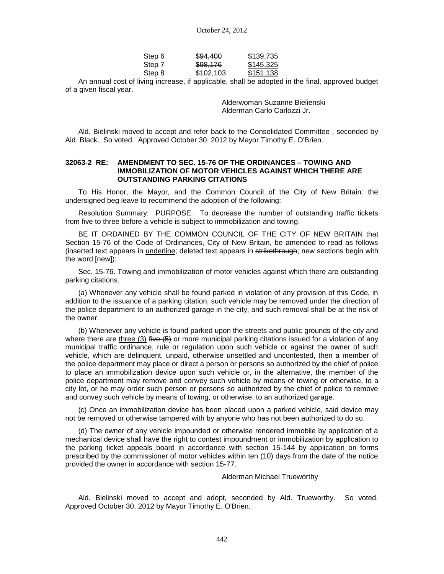| Step 6 | \$94,400  | \$139,735 |
|--------|-----------|-----------|
| Step 7 | \$98,176  | \$145,325 |
| Step 8 | \$102,103 | \$151,138 |
|        |           | .         |

An annual cost of living increase, if applicable, shall be adopted in the final, approved budget of a given fiscal year.

> Alderwoman Suzanne Bielienski Alderman Carlo Carlozzi Jr.

Ald. Bielinski moved to accept and refer back to the Consolidated Committee , seconded by Ald. Black. So voted. Approved October 30, 2012 by Mayor Timothy E. O'Brien.

### **32063-2 RE: AMENDMENT TO SEC. 15-76 OF THE ORDINANCES – TOWING AND IMMOBILIZATION OF MOTOR VEHICLES AGAINST WHICH THERE ARE OUTSTANDING PARKING CITATIONS**

To His Honor, the Mayor, and the Common Council of the City of New Britain: the undersigned beg leave to recommend the adoption of the following:

Resolution Summary: PURPOSE. To decrease the number of outstanding traffic tickets from five to three before a vehicle is subject to immobilization and towing.

BE IT ORDAINED BY THE COMMON COUNCIL OF THE CITY OF NEW BRITAIN that Section 15-76 of the Code of Ordinances, City of New Britain, be amended to read as follows (inserted text appears in underline; deleted text appears in strikethrough; new sections begin with the word [new]):

Sec. 15-76. Towing and immobilization of motor vehicles against which there are outstanding parking citations.

(a) Whenever any vehicle shall be found parked in violation of any provision of this Code, in addition to the issuance of a parking citation, such vehicle may be removed under the direction of the police department to an authorized garage in the city, and such removal shall be at the risk of the owner.

(b) Whenever any vehicle is found parked upon the streets and public grounds of the city and where there are three (3) five  $(5)$  or more municipal parking citations issued for a violation of any municipal traffic ordinance, rule or regulation upon such vehicle or against the owner of such vehicle, which are delinquent, unpaid, otherwise unsettled and uncontested, then a member of the police department may place or direct a person or persons so authorized by the chief of police to place an immobilization device upon such vehicle or, in the alternative, the member of the police department may remove and convey such vehicle by means of towing or otherwise, to a city lot, or he may order such person or persons so authorized by the chief of police to remove and convey such vehicle by means of towing, or otherwise, to an authorized garage.

(c) Once an immobilization device has been placed upon a parked vehicle, said device may not be removed or otherwise tampered with by anyone who has not been authorized to do so.

(d) The owner of any vehicle impounded or otherwise rendered immobile by application of a mechanical device shall have the right to contest impoundment or immobilization by application to the parking ticket appeals board in accordance with section 15-144 by application on forms prescribed by the commissioner of motor vehicles within ten (10) days from the date of the notice provided the owner in accordance with section 15-77.

Alderman Michael Trueworthy

Ald. Bielinski moved to accept and adopt, seconded by Ald. Trueworthy. So voted. Approved October 30, 2012 by Mayor Timothy E. O'Brien.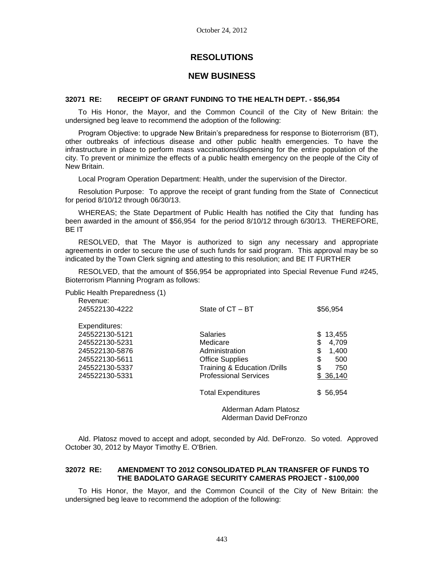# **RESOLUTIONS**

### **NEW BUSINESS**

### **32071 RE: RECEIPT OF GRANT FUNDING TO THE HEALTH DEPT. - \$56,954**

To His Honor, the Mayor, and the Common Council of the City of New Britain: the undersigned beg leave to recommend the adoption of the following:

Program Objective: to upgrade New Britain's preparedness for response to Bioterrorism (BT), other outbreaks of infectious disease and other public health emergencies. To have the infrastructure in place to perform mass vaccinations/dispensing for the entire population of the city. To prevent or minimize the effects of a public health emergency on the people of the City of New Britain.

Local Program Operation Department: Health, under the supervision of the Director.

Resolution Purpose: To approve the receipt of grant funding from the State of Connecticut for period 8/10/12 through 06/30/13.

WHEREAS; the State Department of Public Health has notified the City that funding has been awarded in the amount of \$56,954 for the period 8/10/12 through 6/30/13. THEREFORE, BE IT

RESOLVED, that The Mayor is authorized to sign any necessary and appropriate agreements in order to secure the use of such funds for said program. This approval may be so indicated by the Town Clerk signing and attesting to this resolution; and BE IT FURTHER

RESOLVED, that the amount of \$56,954 be appropriated into Special Revenue Fund #245, Bioterrorism Planning Program as follows:

| Public Health Preparedness (1)<br>Revenue: |                               |             |
|--------------------------------------------|-------------------------------|-------------|
| 245522130-4222                             | State of CT - BT              | \$56,954    |
| Expenditures:                              |                               |             |
| 245522130-5121                             | <b>Salaries</b>               | 13,455<br>S |
| 245522130-5231                             | Medicare                      | \$<br>4.709 |
| 245522130-5876                             | Administration                | \$<br>1,400 |
| 245522130-5611                             | <b>Office Supplies</b>        | \$<br>500   |
| 245522130-5337                             | Training & Education / Drills | \$<br>750   |
| 245522130-5331                             | <b>Professional Services</b>  | \$36,140    |
|                                            | <b>Total Expenditures</b>     | \$56,954    |
|                                            | Alderman Adam Platosz         |             |

Alderman David DeFronzo

Ald. Platosz moved to accept and adopt, seconded by Ald. DeFronzo. So voted. Approved October 30, 2012 by Mayor Timothy E. O'Brien.

### **32072 RE: AMENDMENT TO 2012 CONSOLIDATED PLAN TRANSFER OF FUNDS TO THE BADOLATO GARAGE SECURITY CAMERAS PROJECT - \$100,000**

To His Honor, the Mayor, and the Common Council of the City of New Britain: the undersigned beg leave to recommend the adoption of the following: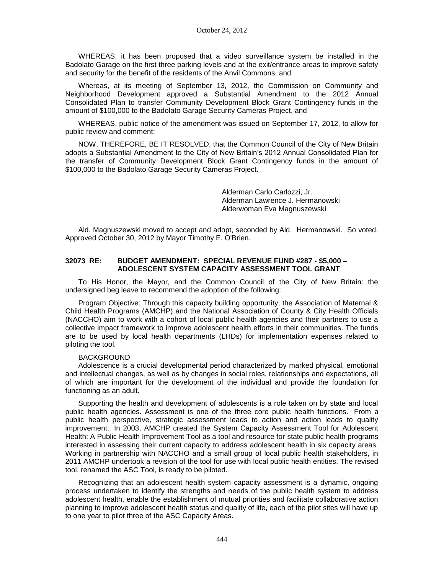WHEREAS, it has been proposed that a video surveillance system be installed in the Badolato Garage on the first three parking levels and at the exit/entrance areas to improve safety and security for the benefit of the residents of the Anvil Commons, and

Whereas, at its meeting of September 13, 2012, the Commission on Community and Neighborhood Development approved a Substantial Amendment to the 2012 Annual Consolidated Plan to transfer Community Development Block Grant Contingency funds in the amount of \$100,000 to the Badolato Garage Security Cameras Project, and

WHEREAS, public notice of the amendment was issued on September 17, 2012, to allow for public review and comment;

NOW, THEREFORE, BE IT RESOLVED, that the Common Council of the City of New Britain adopts a Substantial Amendment to the City of New Britain's 2012 Annual Consolidated Plan for the transfer of Community Development Block Grant Contingency funds in the amount of \$100,000 to the Badolato Garage Security Cameras Project.

> Alderman Carlo Carlozzi, Jr. Alderman Lawrence J. Hermanowski Alderwoman Eva Magnuszewski

Ald. Magnuszewski moved to accept and adopt, seconded by Ald. Hermanowski. So voted. Approved October 30, 2012 by Mayor Timothy E. O'Brien.

### **32073 RE: BUDGET AMENDMENT: SPECIAL REVENUE FUND #287 - \$5,000 – ADOLESCENT SYSTEM CAPACITY ASSESSMENT TOOL GRANT**

To His Honor, the Mayor, and the Common Council of the City of New Britain: the undersigned beg leave to recommend the adoption of the following:

Program Objective: Through this capacity building opportunity, the Association of Maternal & Child Health Programs (AMCHP) and the National Association of County & City Health Officials (NACCHO) aim to work with a cohort of local public health agencies and their partners to use a collective impact framework to improve adolescent health efforts in their communities. The funds are to be used by local health departments (LHDs) for implementation expenses related to piloting the tool.

#### BACKGROUND

Adolescence is a crucial developmental period characterized by marked physical, emotional and intellectual changes, as well as by changes in social roles, relationships and expectations, all of which are important for the development of the individual and provide the foundation for functioning as an adult.

Supporting the health and development of adolescents is a role taken on by state and local public health agencies. Assessment is one of the three core public health functions. From a public health perspective, strategic assessment leads to action and action leads to quality improvement. In 2003, AMCHP created the System Capacity Assessment Tool for Adolescent Health: A Public Health Improvement Tool as a tool and resource for state public health programs interested in assessing their current capacity to address adolescent health in six capacity areas. Working in partnership with NACCHO and a small group of local public health stakeholders, in 2011 AMCHP undertook a revision of the tool for use with local public health entities. The revised tool, renamed the ASC Tool, is ready to be piloted.

Recognizing that an adolescent health system capacity assessment is a dynamic, ongoing process undertaken to identify the strengths and needs of the public health system to address adolescent health, enable the establishment of mutual priorities and facilitate collaborative action planning to improve adolescent health status and quality of life, each of the pilot sites will have up to one year to pilot three of the ASC Capacity Areas.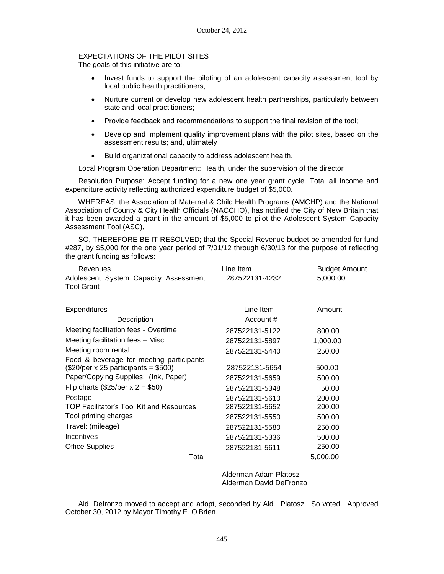### EXPECTATIONS OF THE PILOT SITES

The goals of this initiative are to:

- Invest funds to support the piloting of an adolescent capacity assessment tool by local public health practitioners;
- Nurture current or develop new adolescent health partnerships, particularly between state and local practitioners;
- Provide feedback and recommendations to support the final revision of the tool;
- Develop and implement quality improvement plans with the pilot sites, based on the assessment results; and, ultimately
- Build organizational capacity to address adolescent health.

Local Program Operation Department: Health, under the supervision of the director

Resolution Purpose: Accept funding for a new one year grant cycle. Total all income and expenditure activity reflecting authorized expenditure budget of \$5,000.

WHEREAS; the Association of Maternal & Child Health Programs (AMCHP) and the National Association of County & City Health Officials (NACCHO), has notified the City of New Britain that it has been awarded a grant in the amount of \$5,000 to pilot the Adolescent System Capacity Assessment Tool (ASC),

SO, THEREFORE BE IT RESOLVED; that the Special Revenue budget be amended for fund #287, by \$5,000 for the one year period of 7/01/12 through 6/30/13 for the purpose of reflecting the grant funding as follows:

| Revenues                                                   | Line Item      | <b>Budget Amount</b> |
|------------------------------------------------------------|----------------|----------------------|
| Adolescent System Capacity Assessment<br><b>Tool Grant</b> | 287522131-4232 | 5,000.00             |
|                                                            |                |                      |
| Expenditures                                               | Line Item      | Amount               |
| Description                                                | Account #      |                      |
| Meeting facilitation fees - Overtime                       | 287522131-5122 | 800.00               |
| Meeting facilitation fees - Misc.                          | 287522131-5897 | 1,000.00             |
| Meeting room rental                                        | 287522131-5440 | 250.00               |
| Food & beverage for meeting participants                   |                |                      |
| $(\$20/per \times 25$ participants = \$500)                | 287522131-5654 | 500.00               |
| Paper/Copying Supplies: (Ink, Paper)                       | 287522131-5659 | 500.00               |
| Flip charts (\$25/per $x = 2 = $50$ )                      | 287522131-5348 | 50.00                |
| Postage                                                    | 287522131-5610 | 200.00               |
| TOP Facilitator's Tool Kit and Resources                   | 287522131-5652 | 200.00               |
| Tool printing charges                                      | 287522131-5550 | 500.00               |
| Travel: (mileage)                                          | 287522131-5580 | 250.00               |
| Incentives                                                 | 287522131-5336 | 500.00               |
| <b>Office Supplies</b>                                     | 287522131-5611 | 250.00               |
| Total                                                      |                | 5,000.00             |

Alderman Adam Platosz Alderman David DeFronzo

Ald. Defronzo moved to accept and adopt, seconded by Ald. Platosz. So voted. Approved October 30, 2012 by Mayor Timothy E. O'Brien.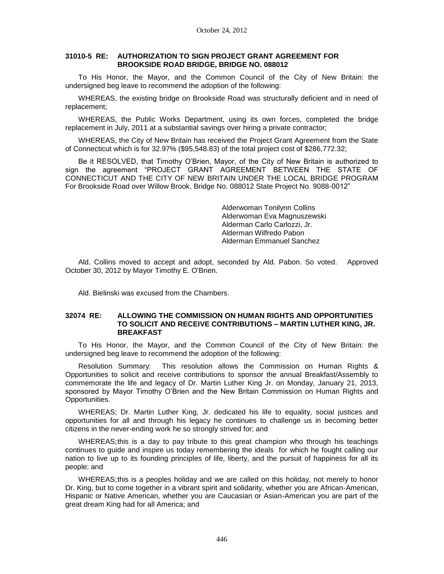### **31010-5 RE: AUTHORIZATION TO SIGN PROJECT GRANT AGREEMENT FOR BROOKSIDE ROAD BRIDGE, BRIDGE NO. 088012**

To His Honor, the Mayor, and the Common Council of the City of New Britain: the undersigned beg leave to recommend the adoption of the following:

WHEREAS, the existing bridge on Brookside Road was structurally deficient and in need of replacement;

WHEREAS, the Public Works Department, using its own forces, completed the bridge replacement in July, 2011 at a substantial savings over hiring a private contractor;

WHEREAS, the City of New Britain has received the Project Grant Agreement from the State of Connecticut which is for 32.97% (\$95,548.83) of the total project cost of \$286,772.32;

Be it RESOLVED, that Timothy O'Brien, Mayor, of the City of New Britain is authorized to sign the agreement "PROJECT GRANT AGREEMENT BETWEEN THE STATE OF CONNECTICUT AND THE CITY OF NEW BRITAIN UNDER THE LOCAL BRIDGE PROGRAM For Brookside Road over Willow Brook, Bridge No. 088012 State Project No. 9088-0012"

> Alderwoman Tonilynn Collins Alderwoman Eva Magnuszewski Alderman Carlo Carlozzi, Jr. Alderman Wilfredo Pabon Alderman Emmanuel Sanchez

Ald. Collins moved to accept and adopt, seconded by Ald. Pabon. So voted. Approved October 30, 2012 by Mayor Timothy E. O'Brien.

Ald. Bielinski was excused from the Chambers.

#### **32074 RE: ALLOWING THE COMMISSION ON HUMAN RIGHTS AND OPPORTUNITIES TO SOLICIT AND RECEIVE CONTRIBUTIONS – MARTIN LUTHER KING, JR. BREAKFAST**

To His Honor, the Mayor, and the Common Council of the City of New Britain: the undersigned beg leave to recommend the adoption of the following:

Resolution Summary: This resolution allows the Commission on Human Rights & Opportunities to solicit and receive contributions to sponsor the annual Breakfast/Assembly to commemorate the life and legacy of Dr. Martin Luther King Jr. on Monday, January 21, 2013, sponsored by Mayor Timothy O'Brien and the New Britain Commission on Human Rights and Opportunities.

WHEREAS; Dr. Martin Luther King, Jr. dedicated his life to equality, social justices and opportunities for all and through his legacy he continues to challenge us in becoming better citizens in the never-ending work he so strongly strived for; and

WHEREAS;this is a day to pay tribute to this great champion who through his teachings continues to guide and inspire us today remembering the ideals for which he fought calling our nation to live up to its founding principles of life, liberty, and the pursuit of happiness for all its people; and

WHEREAS;this is a peoples holiday and we are called on this holiday, not merely to honor Dr. King, but to come together in a vibrant spirit and solidarity, whether you are African-American, Hispanic or Native American, whether you are Caucasian or Asian-American you are part of the great dream King had for all America; and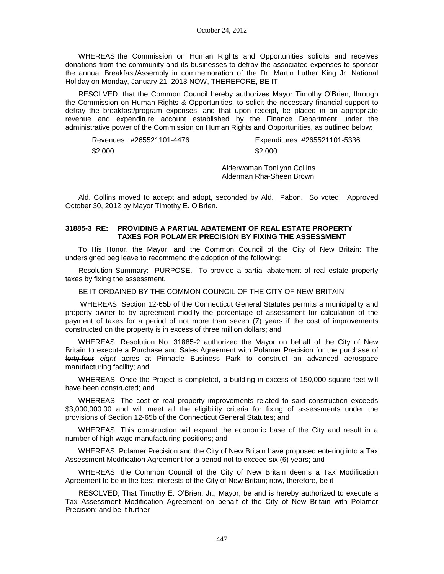WHEREAS;the Commission on Human Rights and Opportunities solicits and receives donations from the community and its businesses to defray the associated expenses to sponsor the annual Breakfast/Assembly in commemoration of the Dr. Martin Luther King Jr. National Holiday on Monday, January 21, 2013 NOW, THEREFORE, BE IT

RESOLVED: that the Common Council hereby authorizes Mayor Timothy O'Brien, through the Commission on Human Rights & Opportunities, to solicit the necessary financial support to defray the breakfast/program expenses, and that upon receipt, be placed in an appropriate revenue and expenditure account established by the Finance Department under the administrative power of the Commission on Human Rights and Opportunities, as outlined below:

Revenues: #265521101-4476 Expenditures: #265521101-5336 \$2,000 \$2,000

Alderwoman Tonilynn Collins

Alderman Rha-Sheen Brown

Ald. Collins moved to accept and adopt, seconded by Ald. Pabon. So voted. Approved October 30, 2012 by Mayor Timothy E. O'Brien.

### **31885-3 RE: PROVIDING A PARTIAL ABATEMENT OF REAL ESTATE PROPERTY TAXES FOR POLAMER PRECISION BY FIXING THE ASSESSMENT**

To His Honor, the Mayor, and the Common Council of the City of New Britain: The undersigned beg leave to recommend the adoption of the following:

Resolution Summary: PURPOSE. To provide a partial abatement of real estate property taxes by fixing the assessment.

BE IT ORDAINED BY THE COMMON COUNCIL OF THE CITY OF NEW BRITAIN

WHEREAS, Section 12-65b of the Connecticut General Statutes permits a municipality and property owner to by agreement modify the percentage of assessment for calculation of the payment of taxes for a period of not more than seven (7) years if the cost of improvements constructed on the property is in excess of three million dollars; and

WHEREAS, Resolution No. 31885-2 authorized the Mayor on behalf of the City of New Britain to execute a Purchase and Sales Agreement with Polamer Precision for the purchase of forty-four *eight* acres at Pinnacle Business Park to construct an advanced aerospace manufacturing facility; and

WHEREAS, Once the Project is completed, a building in excess of 150,000 square feet will have been constructed; and

WHEREAS, The cost of real property improvements related to said construction exceeds \$3,000,000.00 and will meet all the eligibility criteria for fixing of assessments under the provisions of Section 12-65b of the Connecticut General Statutes; and

WHEREAS, This construction will expand the economic base of the City and result in a number of high wage manufacturing positions; and

WHEREAS, Polamer Precision and the City of New Britain have proposed entering into a Tax Assessment Modification Agreement for a period not to exceed six (6) years; and

WHEREAS, the Common Council of the City of New Britain deems a Tax Modification Agreement to be in the best interests of the City of New Britain; now, therefore, be it

RESOLVED, That Timothy E. O'Brien, Jr., Mayor, be and is hereby authorized to execute a Tax Assessment Modification Agreement on behalf of the City of New Britain with Polamer Precision; and be it further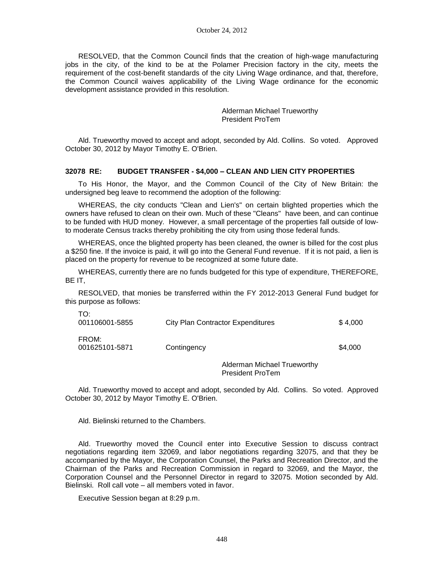RESOLVED, that the Common Council finds that the creation of high-wage manufacturing jobs in the city, of the kind to be at the Polamer Precision factory in the city, meets the requirement of the cost-benefit standards of the city Living Wage ordinance, and that, therefore, the Common Council waives applicability of the Living Wage ordinance for the economic development assistance provided in this resolution.

> Alderman Michael Trueworthy President ProTem

Ald. Trueworthy moved to accept and adopt, seconded by Ald. Collins. So voted. Approved October 30, 2012 by Mayor Timothy E. O'Brien.

### **32078 RE: BUDGET TRANSFER - \$4,000 – CLEAN AND LIEN CITY PROPERTIES**

To His Honor, the Mayor, and the Common Council of the City of New Britain: the undersigned beg leave to recommend the adoption of the following:

WHEREAS, the city conducts "Clean and Lien's" on certain blighted properties which the owners have refused to clean on their own. Much of these "Cleans" have been, and can continue to be funded with HUD money. However, a small percentage of the properties fall outside of lowto moderate Census tracks thereby prohibiting the city from using those federal funds.

WHEREAS, once the blighted property has been cleaned, the owner is billed for the cost plus a \$250 fine. If the invoice is paid, it will go into the General Fund revenue. If it is not paid, a lien is placed on the property for revenue to be recognized at some future date.

WHEREAS, currently there are no funds budgeted for this type of expenditure, THEREFORE, BE IT,

RESOLVED, that monies be transferred within the FY 2012-2013 General Fund budget for this purpose as follows:

| TO:<br>001106001-5855   | City Plan Contractor Expenditures | \$4,000 |
|-------------------------|-----------------------------------|---------|
| FROM:<br>001625101-5871 | Contingency                       | \$4,000 |
|                         | Alderman Michael Trueworthy       |         |

Alderman Michael Trueworthy President ProTem

Ald. Trueworthy moved to accept and adopt, seconded by Ald. Collins. So voted. Approved October 30, 2012 by Mayor Timothy E. O'Brien.

Ald. Bielinski returned to the Chambers.

Ald. Trueworthy moved the Council enter into Executive Session to discuss contract negotiations regarding item 32069, and labor negotiations regarding 32075, and that they be accompanied by the Mayor, the Corporation Counsel, the Parks and Recreation Director, and the Chairman of the Parks and Recreation Commission in regard to 32069, and the Mayor, the Corporation Counsel and the Personnel Director in regard to 32075. Motion seconded by Ald. Bielinski. Roll call vote – all members voted in favor.

Executive Session began at 8:29 p.m.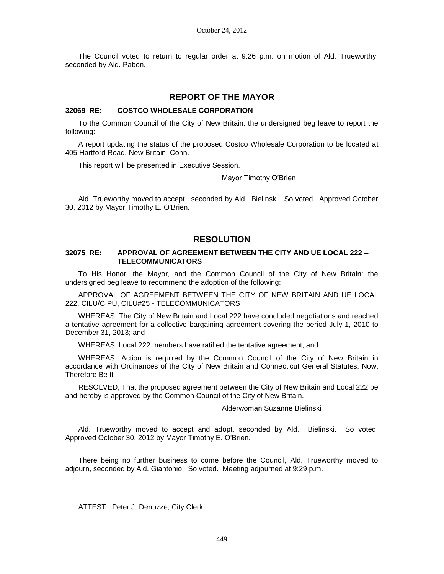The Council voted to return to regular order at 9:26 p.m. on motion of Ald. Trueworthy, seconded by Ald. Pabon.

### **REPORT OF THE MAYOR**

### **32069 RE: COSTCO WHOLESALE CORPORATION**

To the Common Council of the City of New Britain: the undersigned beg leave to report the following:

A report updating the status of the proposed Costco Wholesale Corporation to be located at 405 Hartford Road, New Britain, Conn.

This report will be presented in Executive Session.

Mayor Timothy O'Brien

Ald. Trueworthy moved to accept, seconded by Ald. Bielinski. So voted. Approved October 30, 2012 by Mayor Timothy E. O'Brien.

### **RESOLUTION**

### **32075 RE: APPROVAL OF AGREEMENT BETWEEN THE CITY AND UE LOCAL 222 – TELECOMMUNICATORS**

To His Honor, the Mayor, and the Common Council of the City of New Britain: the undersigned beg leave to recommend the adoption of the following:

APPROVAL OF AGREEMENT BETWEEN THE CITY OF NEW BRITAIN AND UE LOCAL 222, CILU/CIPU, CILU#25 - TELECOMMUNICATORS

WHEREAS, The City of New Britain and Local 222 have concluded negotiations and reached a tentative agreement for a collective bargaining agreement covering the period July 1, 2010 to December 31, 2013; and

WHEREAS, Local 222 members have ratified the tentative agreement; and

WHEREAS, Action is required by the Common Council of the City of New Britain in accordance with Ordinances of the City of New Britain and Connecticut General Statutes; Now, Therefore Be It

RESOLVED, That the proposed agreement between the City of New Britain and Local 222 be and hereby is approved by the Common Council of the City of New Britain.

### Alderwoman Suzanne Bielinski

Ald. Trueworthy moved to accept and adopt, seconded by Ald. Bielinski. So voted. Approved October 30, 2012 by Mayor Timothy E. O'Brien.

There being no further business to come before the Council, Ald. Trueworthy moved to adjourn, seconded by Ald. Giantonio. So voted. Meeting adjourned at 9:29 p.m.

ATTEST: Peter J. Denuzze, City Clerk